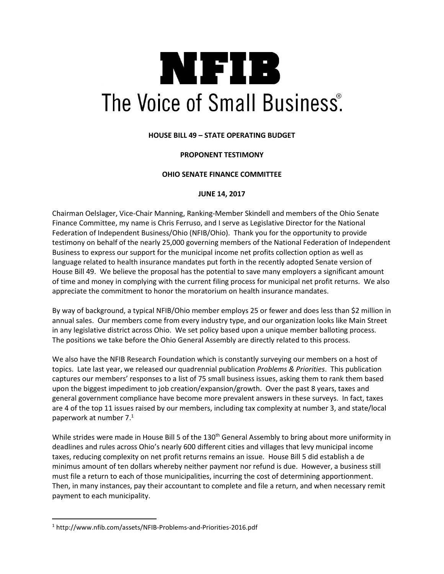# NIFIB The Voice of Small Business<sup>®</sup>.

## **HOUSE BILL 49 – STATE OPERATING BUDGET**

### **PROPONENT TESTIMONY**

#### **OHIO SENATE FINANCE COMMITTEE**

#### **JUNE 14, 2017**

Chairman Oelslager, Vice-Chair Manning, Ranking-Member Skindell and members of the Ohio Senate Finance Committee, my name is Chris Ferruso, and I serve as Legislative Director for the National Federation of Independent Business/Ohio (NFIB/Ohio). Thank you for the opportunity to provide testimony on behalf of the nearly 25,000 governing members of the National Federation of Independent Business to express our support for the municipal income net profits collection option as well as language related to health insurance mandates put forth in the recently adopted Senate version of House Bill 49. We believe the proposal has the potential to save many employers a significant amount of time and money in complying with the current filing process for municipal net profit returns. We also appreciate the commitment to honor the moratorium on health insurance mandates.

By way of background, a typical NFIB/Ohio member employs 25 or fewer and does less than \$2 million in annual sales. Our members come from every industry type, and our organization looks like Main Street in any legislative district across Ohio. We set policy based upon a unique member balloting process. The positions we take before the Ohio General Assembly are directly related to this process.

We also have the NFIB Research Foundation which is constantly surveying our members on a host of topics. Late last year, we released our quadrennial publication *Problems & Priorities*. This publication captures our members' responses to a list of 75 small business issues, asking them to rank them based upon the biggest impediment to job creation/expansion/growth. Over the past 8 years, taxes and general government compliance have become more prevalent answers in these surveys. In fact, taxes are 4 of the top 11 issues raised by our members, including tax complexity at number 3, and state/local paperwork at number 7. $1$ 

While strides were made in House Bill 5 of the 130<sup>th</sup> General Assembly to bring about more uniformity in deadlines and rules across Ohio's nearly 600 different cities and villages that levy municipal income taxes, reducing complexity on net profit returns remains an issue. House Bill 5 did establish a de minimus amount of ten dollars whereby neither payment nor refund is due. However, a business still must file a return to each of those municipalities, incurring the cost of determining apportionment. Then, in many instances, pay their accountant to complete and file a return, and when necessary remit payment to each municipality.

 $\overline{a}$ 

<sup>1</sup> http://www.nfib.com/assets/NFIB-Problems-and-Priorities-2016.pdf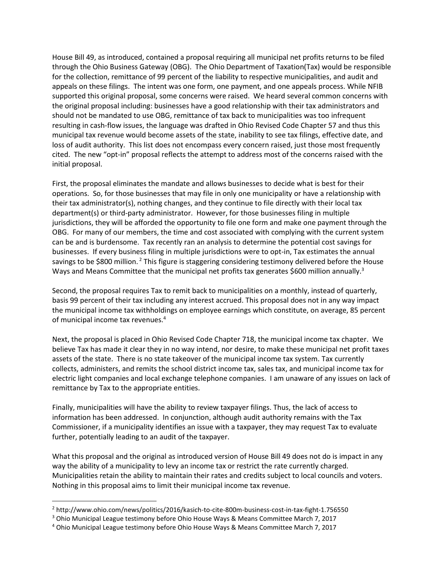House Bill 49, as introduced, contained a proposal requiring all municipal net profits returns to be filed through the Ohio Business Gateway (OBG). The Ohio Department of Taxation(Tax) would be responsible for the collection, remittance of 99 percent of the liability to respective municipalities, and audit and appeals on these filings. The intent was one form, one payment, and one appeals process. While NFIB supported this original proposal, some concerns were raised. We heard several common concerns with the original proposal including: businesses have a good relationship with their tax administrators and should not be mandated to use OBG, remittance of tax back to municipalities was too infrequent resulting in cash-flow issues, the language was drafted in Ohio Revised Code Chapter 57 and thus this municipal tax revenue would become assets of the state, inability to see tax filings, effective date, and loss of audit authority. This list does not encompass every concern raised, just those most frequently cited. The new "opt-in" proposal reflects the attempt to address most of the concerns raised with the initial proposal.

First, the proposal eliminates the mandate and allows businesses to decide what is best for their operations. So, for those businesses that may file in only one municipality or have a relationship with their tax administrator(s), nothing changes, and they continue to file directly with their local tax department(s) or third-party administrator. However, for those businesses filing in multiple jurisdictions, they will be afforded the opportunity to file one form and make one payment through the OBG. For many of our members, the time and cost associated with complying with the current system can be and is burdensome. Tax recently ran an analysis to determine the potential cost savings for businesses. If every business filing in multiple jurisdictions were to opt-in, Tax estimates the annual savings to be \$800 million. <sup>2</sup> This figure is staggering considering testimony delivered before the House Ways and Means Committee that the municipal net profits tax generates \$600 million annually.<sup>3</sup>

Second, the proposal requires Tax to remit back to municipalities on a monthly, instead of quarterly, basis 99 percent of their tax including any interest accrued. This proposal does not in any way impact the municipal income tax withholdings on employee earnings which constitute, on average, 85 percent of municipal income tax revenues.<sup>4</sup>

Next, the proposal is placed in Ohio Revised Code Chapter 718, the municipal income tax chapter. We believe Tax has made it clear they in no way intend, nor desire, to make these municipal net profit taxes assets of the state. There is no state takeover of the municipal income tax system. Tax currently collects, administers, and remits the school district income tax, sales tax, and municipal income tax for electric light companies and local exchange telephone companies. I am unaware of any issues on lack of remittance by Tax to the appropriate entities.

Finally, municipalities will have the ability to review taxpayer filings. Thus, the lack of access to information has been addressed. In conjunction, although audit authority remains with the Tax Commissioner, if a municipality identifies an issue with a taxpayer, they may request Tax to evaluate further, potentially leading to an audit of the taxpayer.

What this proposal and the original as introduced version of House Bill 49 does not do is impact in any way the ability of a municipality to levy an income tax or restrict the rate currently charged. Municipalities retain the ability to maintain their rates and credits subject to local councils and voters. Nothing in this proposal aims to limit their municipal income tax revenue.

 $\overline{\phantom{a}}$ 

<sup>2</sup> http://www.ohio.com/news/politics/2016/kasich-to-cite-800m-business-cost-in-tax-fight-1.756550

<sup>3</sup> Ohio Municipal League testimony before Ohio House Ways & Means Committee March 7, 2017

<sup>4</sup> Ohio Municipal League testimony before Ohio House Ways & Means Committee March 7, 2017